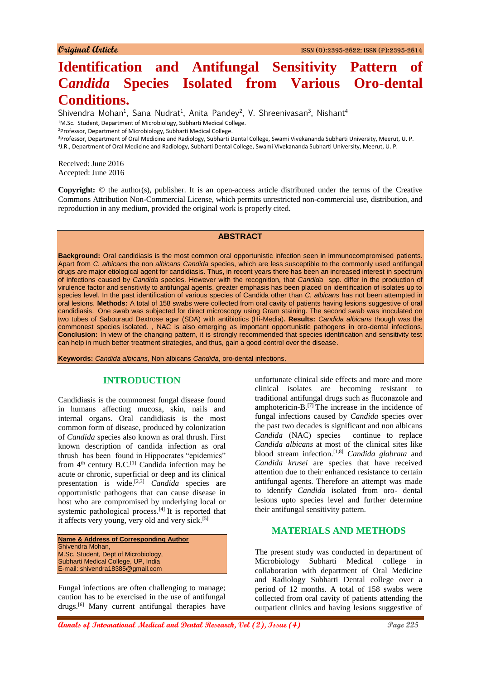# **Identification and Antifungal Sensitivity Pattern of Candida Species Isolated from Various Oro-dental Conditions.**

Shivendra Mohan<sup>1</sup>, Sana Nudrat<sup>1</sup>, Anita Pandey<sup>2</sup>, V. Shreenivasan<sup>3</sup>, Nishant<sup>4</sup>

<sup>1</sup>M.Sc. Student, Department of Microbiology, Subharti Medical College.

<sup>2</sup>Professor, Department of Microbiology, Subharti Medical College.

<sup>3</sup>Professor, Department of Oral Medicine and Radiology, Subharti Dental College, Swami Vivekananda Subharti University, Meerut, U. P.

4 J.R., Department of Oral Medicine and Radiology, Subharti Dental College, Swami Vivekananda Subharti University, Meerut, U. P.

Received: June 2016 Accepted: June 2016

**Copyright:** © the author(s), publisher. It is an open-access article distributed under the terms of the Creative Commons Attribution Non-Commercial License, which permits unrestricted non-commercial use, distribution, and reproduction in any medium, provided the original work is properly cited.

#### **ABSTRACT**

**Background:** Oral candidiasis is the most common oral opportunistic infection seen in immunocompromised patients. Apart from *C. albicans* the non *albicans Candida* species, which are less susceptible to the commonly used antifungal drugs are major etiological agent for candidiasis. Thus, in recent years there has been an increased interest in spectrum of infections caused by *Candida* species. However with the recognition, that *Candida* spp. differ in the production of virulence factor and sensitivity to antifungal agents, greater emphasis has been placed on identification of isolates up to species level. In the past identification of various species of Candida other than *C. albicans* has not been attempted in oral lesions. **Methods:** A total of 158 swabs were collected from oral cavity of patients having lesions suggestive of oral candidiasis. One swab was subjected for direct microscopy using Gram staining. The second swab was inoculated on two tubes of Sabouraud Dextrose agar (SDA) with antibiotics (Hi-Media)**. Results:** *Candida albicans* though was the commonest species isolated. , NAC is also emerging as important opportunistic pathogens in oro-dental infections. **Conclusion:** In view of the changing pattern, it is strongly recommended that species identification and sensitivity test can help in much better treatment strategies, and thus, gain a good control over the disease.

**Keywords:** *Candida albicans*, Non albicans *Candida*, oro-dental infections.

## **INTRODUCTION**

Candidiasis is the commonest fungal disease found in humans affecting mucosa, skin, nails and internal organs. Oral candidiasis is the most common form of disease, produced by colonization of *Candida* species also known as oral thrush. First known description of candida infection as oral thrush has been found in Hippocrates "epidemics" from  $4<sup>th</sup>$  century B.C.<sup>[1]</sup> Candida infection may be acute or chronic, superficial or deep and its clinical presentation is wide.[2,3] *Candida* species are opportunistic pathogens that can cause disease in host who are compromised by underlying local or systemic pathological process.<sup>[4]</sup> It is reported that it affects very young, very old and very sick.<sup>[5]</sup>

**Name & Address of Corresponding Author** Shivendra Mohan, M.Sc. Student, Dept of Microbiology, Subharti Medical College, UP, India E-mail: shivendra18385@gmail.com

Fungal infections are often challenging to manage; caution has to be exercised in the use of antifungal drugs.[6] Many current antifungal therapies have unfortunate clinical side effects and more and more clinical isolates are becoming resistant to traditional antifungal drugs such as fluconazole and amphotericin-B.[7] The increase in the incidence of fungal infections caused by *Candida* species over the past two decades is significant and non albicans *Candida* (NAC) species continue to replace *Candida albicans* at most of the clinical sites like blood stream infection.[1,8] *Candida glabrata* and *Candida krusei* are species that have received attention due to their enhanced resistance to certain antifungal agents. Therefore an attempt was made to identify *Candida* isolated from oro- dental lesions upto species level and further determine their antifungal sensitivity pattern.

## **MATERIALS AND METHODS**

The present study was conducted in department of Microbiology Subharti Medical college in collaboration with department of Oral Medicine and Radiology Subharti Dental college over a period of 12 months. A total of 158 swabs were collected from oral cavity of patients attending the outpatient clinics and having lesions suggestive of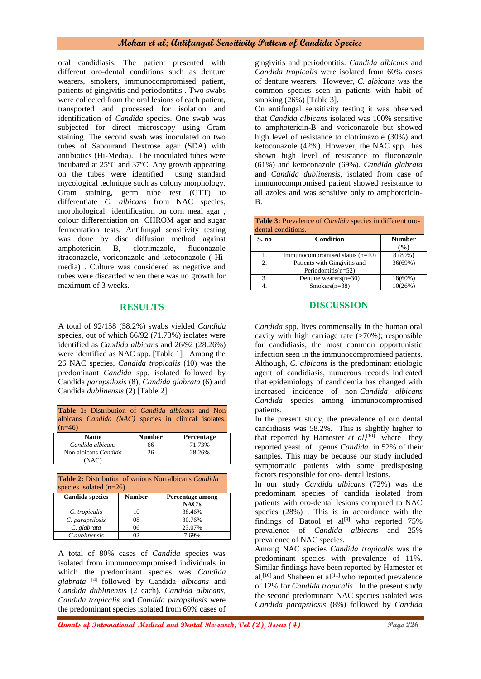## **Mohan et al; Antifungal Sensitivity Pattern of Candida Species**

oral candidiasis. The patient presented with different oro-dental conditions such as denture wearers, smokers, immunocompromised patient, patients of gingivitis and periodontitis . Two swabs were collected from the oral lesions of each patient, transported and processed for isolation and identification of *Candida* species. One swab was subjected for direct microscopy using Gram staining. The second swab was inoculated on two tubes of Sabouraud Dextrose agar (SDA) with antibiotics (Hi-Media). The inoculated tubes were incubated at 25ºC and 37ºC. Any growth appearing on the tubes were identified using standard mycological technique such as colony morphology, Gram staining, germ tube test (GTT) to differentiate *C. albicans* from NAC species, morphological identification on corn meal agar , colour differentiation on CHROM agar and sugar fermentation tests. Antifungal sensitivity testing was done by disc diffusion method against amphotericin B, clotrimazole, fluconazole itraconazole, voriconazole and ketoconazole ( Himedia) . Culture was considered as negative and tubes were discarded when there was no growth for maximum of 3 weeks.

#### **RESULTS**

A total of 92/158 (58.2%) swabs yielded *Candida* species, out of which 66/92 (71.73%) isolates were identified as *Candida albicans* and 26/92 (28.26%) were identified as NAC spp. [Table 1] Among the 26 NAC species, *Candida tropicalis* (10) was the predominant *Candida* spp. isolated followed by Candida *parapsilosis* (8), *Candida glabrata* (6) and Candida *dublinensis* (2) [Table 2].

**Table 1:** Distribution of *Candida albicans* and Non albicans *Candida (NAC)* species in clinical isolates.  $(n=46)$ 

| Name                          | <b>Number</b> | Percentage |
|-------------------------------|---------------|------------|
| Candida albicans              | 66            | 71.73%     |
| Non albicans Candida<br>.NAC` | 26            | 28.26%     |

**Table 2:** Distribution of various Non albicans *Candida* species isolated (n=26)

| <b>Candida species</b> | <b>Number</b> | <b>Percentage among</b> |
|------------------------|---------------|-------------------------|
|                        |               | NAC's                   |
| C. tropicalis          |               | 38.46%                  |
| C. parapsilosis        | 18            | 30.76%                  |
| C. glabrata            | 76            | 23.07%                  |
| C.dublinensis          |               | 7.69%                   |

A total of 80% cases of *Candida* species was isolated from immunocompromised individuals in which the predominant species was *Candida glabrata* [4] followed by Candida *albicans* and *Candida dublinensis* (2 each)*. Candida albicans, Candida tropicalis* and *Candida parapsilosis* were the predominant species isolated from 69% cases of

gingivitis and periodontitis. *Candida albicans* and *Candida tropicalis* were isolated from 60% cases of denture wearers. However, *C. albicans* was the common species seen in patients with habit of smoking (26%) [Table 3].

On antifungal sensitivity testing it was observed that *Candida albicans* isolated was 100% sensitive to amphotericin-B and voriconazole but showed high level of resistance to clotrimazole (30%) and ketoconazole (42%). However, the NAC spp. has shown high level of resistance to fluconazole (61%) and ketoconazole (69%). *Candida glabrata* and *Candida dublinensis*, isolated from case of immunocompromised patient showed resistance to all azoles and was sensitive only to amphotericin-B.

| <b>Table 3:</b> Prevalence of <i>Candida</i> species in different oro- |  |
|------------------------------------------------------------------------|--|
| dental conditions.                                                     |  |

| S. no | Condition                         | <b>Number</b> |
|-------|-----------------------------------|---------------|
|       |                                   | (%)           |
|       | Immunocompromised status $(n=10)$ | $8(80\%)$     |
| 2.    | Patients with Gingivitis and      | 36(69%)       |
|       | Periodontitis $(n=52)$            |               |
|       | Denture wearers $(n=30)$          | 18(60%)       |
|       | $Smokes(n=38)$                    | 10(26%)       |

#### **DISCUSSION**

*Candida* spp. lives commensally in the human oral cavity with high carriage rate  $($ >70%); responsible for candidiasis, the most common opportunistic infection seen in the immunocompromised patients. Although, *C. albicans* is the predominant etiologic agent of candidiasis, numerous records indicated that epidemiology of candidemia has changed with increased incidence of non-*Candida albicans Candida* species among immunocompromised patients.

In the present study, the prevalence of oro dental candidiasis was 58.2%. This is slightly higher to that reported by Hamester  $et \, al$ <sup>[10]</sup> where they reported yeast of genus *Candida* in 52% of their samples. This may be because our study included symptomatic patients with some predisposing factors responsible for oro- dental lesions.

In our study *Candida albicans* (72%) was the predominant species of candida isolated from patients with oro-dental lesions compared to NAC species (28%) . This is in accordance with the findings of Batool et  $al^{[8]}$  who reported 75% prevalence of *Candida albicans* and 25% prevalence of NAC species.

Among NAC species *Candida tropicalis* was the predominant species with prevalence of 11%. Similar findings have been reported by Hamester et al,<sup>[10]</sup> and Shaheen et al<sup>[11]</sup> who reported prevalence of 12% for *Candida tropicalis* . In the present study the second predominant NAC species isolated was *Candida parapsilosis* (8%) followed by *Candida*